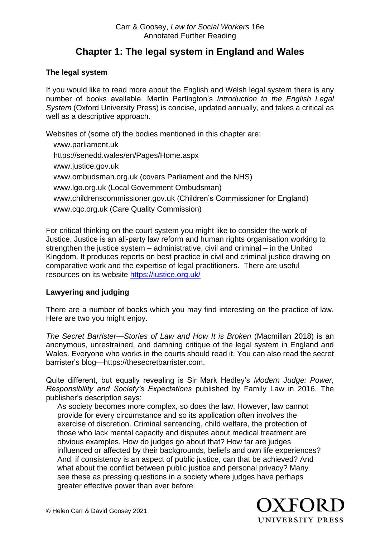# **Chapter 1: The legal system in England and Wales**

## **The legal system**

If you would like to read more about the English and Welsh legal system there is any number of books available. Martin Partington's *Introduction to the English Legal System* (Oxford University Press) is concise, updated annually, and takes a critical as well as a descriptive approach.

Websites of (some of) the bodies mentioned in this chapter are: [www.parliament.uk](http://www.parliament.uk/) <https://senedd.wales/en/Pages/Home.aspx> [www.justice.gov.uk](http://www.justice.gov.uk/) [www.ombudsman.org.uk](http://www.ombudsman.org.uk/) (covers Parliament and the NHS) [www.lgo.org.uk](http://www.lgo.org.uk/) (Local Government Ombudsman) [www.childrenscommissioner.gov.uk](http://www.childrenscommissioner.gov.uk/) (Children's Commissioner for England) [www.cqc.org.uk](http://www.cqc.org.uk/) (Care Quality Commission)

For critical thinking on the court system you might like to consider the work of Justice. Justice is an all-party law reform and human rights organisation working to strengthen the justice system – administrative, civil and criminal – in the United Kingdom. It produces reports on best practice in civil and criminal justice drawing on comparative work and the expertise of legal practitioners. There are useful resources on its website<https://justice.org.uk/>

## **Lawyering and judging**

There are a number of books which you may find interesting on the practice of law. Here are two you might enjoy.

*The Secret Barrister—Stories of Law and How It is Broken (Macmillan 2018) is an* anonymous, unrestrained, and damning critique of the legal system in England and Wales. Everyone who works in the courts should read it. You can also read the secret barrister's blog[—https://thesecretbarrister.com.](https://thesecretbarrister.com/)

Quite different, but equally revealing is Sir Mark Hedley's *Modern Judge: Power, Responsibility and Society's Expectations* published by Family Law in 2016. The publisher's description says:

As society becomes more complex, so does the law. However, law cannot provide for every circumstance and so its application often involves the exercise of discretion. Criminal sentencing, child welfare, the protection of those who lack mental capacity and disputes about medical treatment are obvious examples. How do judges go about that? How far are judges influenced or affected by their backgrounds, beliefs and own life experiences? And, if consistency is an aspect of public justice, can that be achieved? And what about the conflict between public justice and personal privacy? Many see these as pressing questions in a society where judges have perhaps greater effective power than ever before.